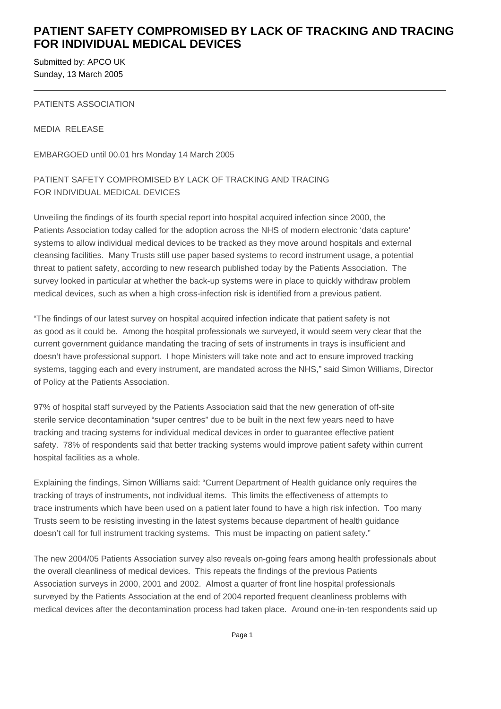## **PATIENT SAFETY COMPROMISED BY LACK OF TRACKING AND TRACING FOR INDIVIDUAL MEDICAL DEVICES**

Submitted by: APCO UK Sunday, 13 March 2005

#### PATIENTS ASSOCIATION

MEDIA RELEASE

EMBARGOED until 00.01 hrs Monday 14 March 2005

### PATIENT SAFETY COMPROMISED BY LACK OF TRACKING AND TRACING FOR INDIVIDUAL MEDICAL DEVICES

Unveiling the findings of its fourth special report into hospital acquired infection since 2000, the Patients Association today called for the adoption across the NHS of modern electronic 'data capture' systems to allow individual medical devices to be tracked as they move around hospitals and external cleansing facilities. Many Trusts still use paper based systems to record instrument usage, a potential threat to patient safety, according to new research published today by the Patients Association. The survey looked in particular at whether the back-up systems were in place to quickly withdraw problem medical devices, such as when a high cross-infection risk is identified from a previous patient.

"The findings of our latest survey on hospital acquired infection indicate that patient safety is not as good as it could be. Among the hospital professionals we surveyed, it would seem very clear that the current government guidance mandating the tracing of sets of instruments in trays is insufficient and doesn't have professional support. I hope Ministers will take note and act to ensure improved tracking systems, tagging each and every instrument, are mandated across the NHS," said Simon Williams, Director of Policy at the Patients Association.

97% of hospital staff surveyed by the Patients Association said that the new generation of off-site sterile service decontamination "super centres" due to be built in the next few years need to have tracking and tracing systems for individual medical devices in order to guarantee effective patient safety. 78% of respondents said that better tracking systems would improve patient safety within current hospital facilities as a whole.

Explaining the findings, Simon Williams said: "Current Department of Health guidance only requires the tracking of trays of instruments, not individual items. This limits the effectiveness of attempts to trace instruments which have been used on a patient later found to have a high risk infection. Too many Trusts seem to be resisting investing in the latest systems because department of health guidance doesn't call for full instrument tracking systems. This must be impacting on patient safety."

The new 2004/05 Patients Association survey also reveals on-going fears among health professionals about the overall cleanliness of medical devices. This repeats the findings of the previous Patients Association surveys in 2000, 2001 and 2002. Almost a quarter of front line hospital professionals surveyed by the Patients Association at the end of 2004 reported frequent cleanliness problems with medical devices after the decontamination process had taken place. Around one-in-ten respondents said up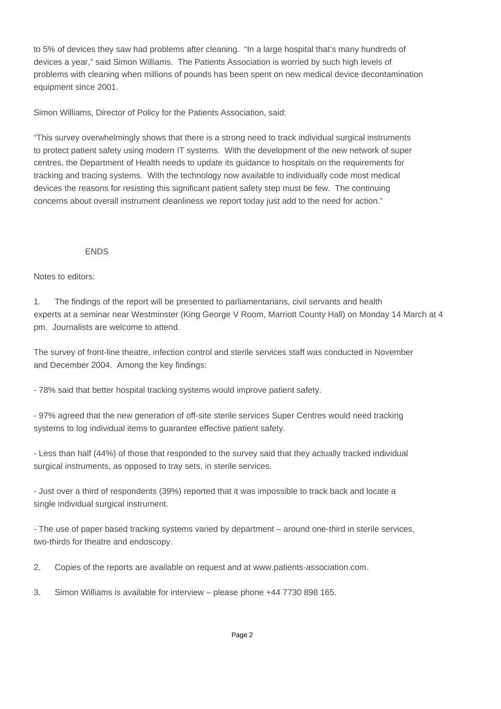to 5% of devices they saw had problems after cleaning. "In a large hospital that's many hundreds of devices a year," said Simon Williams. The Patients Association is worried by such high levels of problems with cleaning when millions of pounds has been spent on new medical device decontamination equipment since 2001.

Simon Williams, Director of Policy for the Patients Association, said:

"This survey overwhelmingly shows that there is a strong need to track individual surgical instruments to protect patient safety using modern IT systems. With the development of the new network of super centres, the Department of Health needs to update its guidance to hospitals on the requirements for tracking and tracing systems. With the technology now available to individually code most medical devices the reasons for resisting this significant patient safety step must be few. The continuing concerns about overall instrument cleanliness we report today just add to the need for action."

#### **FNDS**

#### Notes to editors:

1. The findings of the report will be presented to parliamentarians, civil servants and health experts at a seminar near Westminster (King George V Room, Marriott County Hall) on Monday 14 March at 4 pm. Journalists are welcome to attend.

The survey of front-line theatre, infection control and sterile services staff was conducted in November and December 2004. Among the key findings:

- 78% said that better hospital tracking systems would improve patient safety.

- 97% agreed that the new generation of off-site sterile services Super Centres would need tracking systems to log individual items to guarantee effective patient safety.

- Less than half (44%) of those that responded to the survey said that they actually tracked individual surgical instruments, as opposed to tray sets, in sterile services.

- Just over a third of respondents (39%) reported that it was impossible to track back and locate a single individual surgical instrument.

- The use of paper based tracking systems varied by department – around one-third in sterile services, two-thirds for theatre and endoscopy.

2. Copies of the reports are available on request and at www.patients-association.com.

3. Simon Williams is available for interview – please phone +44 7730 898 165.